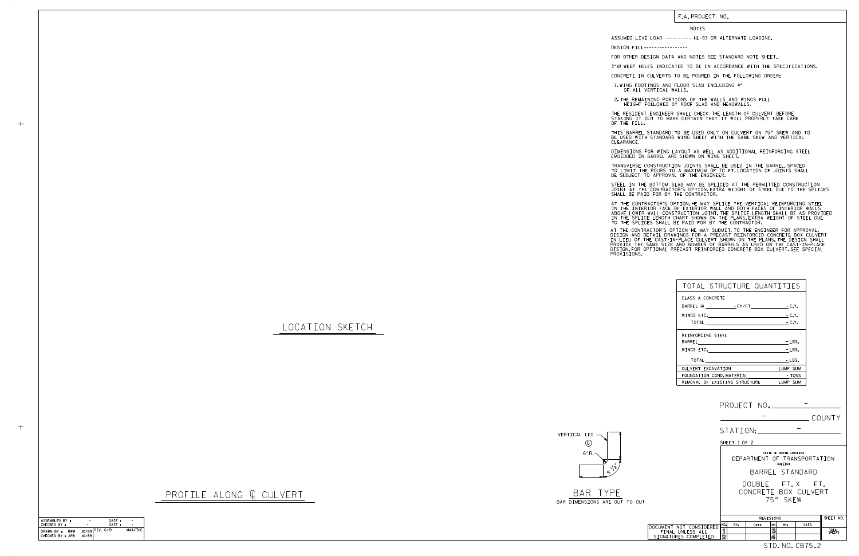LOCATION SKETCH



## F.A. PROJECT NO.

## NOTES

DESIGN FILL-----------------

FOR OTHER DESIGN DATA AND NOTES SEE STANDARD NOTE SHEET.

3" Ø WEEP HOLES INDICATED TO BE IN ACCORDANCE WITH THE SPECIFICATIONS.

CONCRETE IN CULVERTS TO BE POURED IN THE FOLLOWING ORDER:

1.WING FOOTINGS AND FLOOR SLAB INCLUDING 4"<br>OF ALL VERTICAL WALLS.

2.THE REMAINING PORTIONS OF THE WALLS AND WINGS FULL<br>HEIGHT FOLLOWED BY ROOF SLAB AND HEADWALLS.

THE RESIDENT ENGINEER SHALL CHECK THE LENGTH OF CULVERT BEFORE<br>STAKING IT OUT TO MAKE CERTAIN THAT IT WILL PROPERLY TAKE CARE<br>OF THE FILL.

STEEL IN THE BOTTOM SLAB MAY BE SPLICED AT THE PERMITTED CONSTRUCTION JOINT AT THE CONTRACTOR'S OPTION.EXTRA WEIGHT OF STEEL DUE TO THE SPLICES<br>SHALL BE PAID FOR BY THE CONTRACTOR.

IN THE INTERIOR FACE OF EXTERIOR WALL AND BOTH FACES OF INTERIOR WALLS<br>ABOVE LOWER WALL CONSTRUCTION JOINT.THE SPLICE LENGTH SHALL BE AS PROVIDED<br>IN THE SPLICE LENGTH CHART SHOWN ON THE PLANS.EXTRA WEIGHT OF STEEL DUE<br>TO T AT THE CONTRACTOR'S OPTION, HE MAY SPLICE THE VERTICAL REINFORCING STEEL

AT THE CONTRACTOR'S OPTION HE MAY SUBMIT, TO THE ENGINEER FOR APPROVAL,<br>DESIGN AND DETAIL DRAWINGS FOR A PRECAST REINFORCED CONCRETE BOX CULVERT<br>IN LIEU OF THE CAST-IN-PLACE CULVERT SHOWN ON THE PLANS.THE DESIGN SHALL<br>PROV

BE USED WITH STANDARD WING SHEET WITH THE SAME SKEW AND VERTICAL CLEARANCE. THIS BARREL STANDARD TO BE USED ONLY ON CULVERT ON 75° SKEW AND TO

DIMENSIONS FOR WING LAYOUT AS WELL AS ADDITIONAL REINFORCING STEEL<br>EMBEDDED IN BARREL ARE SHOWN ON WING SHEET.

TRANSVERSE CONSTRUCTION JOINTS SHALL BE USED IN THE BARREL,SPACED<br>TO LIMIT THE POURS TO A MAXIMUM OF 70 FT.LOCATION OF JOINTS SHALL<br>BE SUBJECT TO APPROVAL OF THE ENGINEER.

BAR DIMENSIONS ARE OUT TO OUT

PROFILE ALONG @ CULVERT BAR TYPE

ASSUMED LIVE LOAD ---------- HL-93 OR ALTERNATE LOADING.

| TOTAL STRUCTURE QUANTITIES    |                   |
|-------------------------------|-------------------|
| CLASS A CONCRETE              |                   |
|                               | $-C.Y.$           |
| REINFORCING STEEL             |                   |
|                               | $-LBS.$<br>- LBS. |
| TOTAL <b>ACCOMPTER</b>        | - LBS.            |
| CULVERT EXCAVATION            | LUMP SUM          |
| FOUNDATION COND. MATERIAL     | - TONS            |
| REMOVAL OF EXISTING STRUCTURE | LUMP SUM          |

| ASSEMBLED BY :                        | ٠     | DATE:             |         |
|---------------------------------------|-------|-------------------|---------|
| CHECKED BY :                          |       | DATF:             |         |
| DRAWN BY :<br>RWW<br>CHECKED BY : ARB | 10/89 | $10/89$ REV. 6/19 | MAA/THC |

 $+$ 

|                                          | PROJECT NO. _____________                                                                                                                    |       |            |                              |                 |  |  |
|------------------------------------------|----------------------------------------------------------------------------------------------------------------------------------------------|-------|------------|------------------------------|-----------------|--|--|
|                                          |                                                                                                                                              |       |            |                              | COUNTY          |  |  |
|                                          | STATION:                                                                                                                                     |       |            |                              |                 |  |  |
|                                          | SHEET 1 OF 2                                                                                                                                 |       |            |                              |                 |  |  |
|                                          | STATE OF NORTH CAROLINA<br>DEPARTMENT OF TRANSPORTATION<br>RALEIGH<br>BARREL STANDARD<br>DOUBLE FT.X FT.<br>CONCRETE BOX CULVERT<br>75° SKFW |       |            |                              |                 |  |  |
|                                          |                                                                                                                                              |       |            |                              |                 |  |  |
|                                          |                                                                                                                                              |       |            |                              |                 |  |  |
|                                          | SHEET NO.<br>REVISIONS                                                                                                                       |       |            |                              |                 |  |  |
| DOCUMENT NOT CONSIDERED                  | NO.<br>BY:                                                                                                                                   | DATE: | NO.<br>BY: | DATE:                        |                 |  |  |
| FINAL UNLESS ALL<br>SIGNATURES COMPLETED | ิจ<br>$\overline{2}$                                                                                                                         |       | 3<br>4     |                              | TOTAL<br>SHEETS |  |  |
|                                          |                                                                                                                                              |       |            | STD. NO. CB75 <sub>-</sub> 2 |                 |  |  |